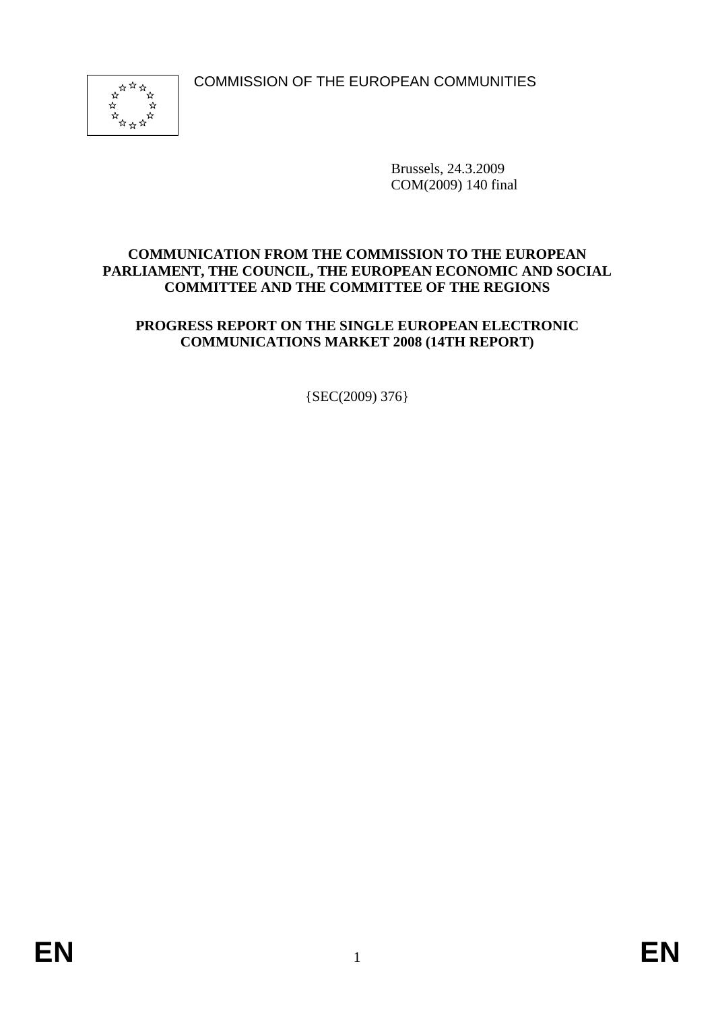COMMISSION OF THE EUROPEAN COMMUNITIES



Brussels, 24.3.2009 COM(2009) 140 final

### **COMMUNICATION FROM THE COMMISSION TO THE EUROPEAN PARLIAMENT, THE COUNCIL, THE EUROPEAN ECONOMIC AND SOCIAL COMMITTEE AND THE COMMITTEE OF THE REGIONS**

## **PROGRESS REPORT ON THE SINGLE EUROPEAN ELECTRONIC COMMUNICATIONS MARKET 2008 (14TH REPORT)**

{SEC(2009) 376}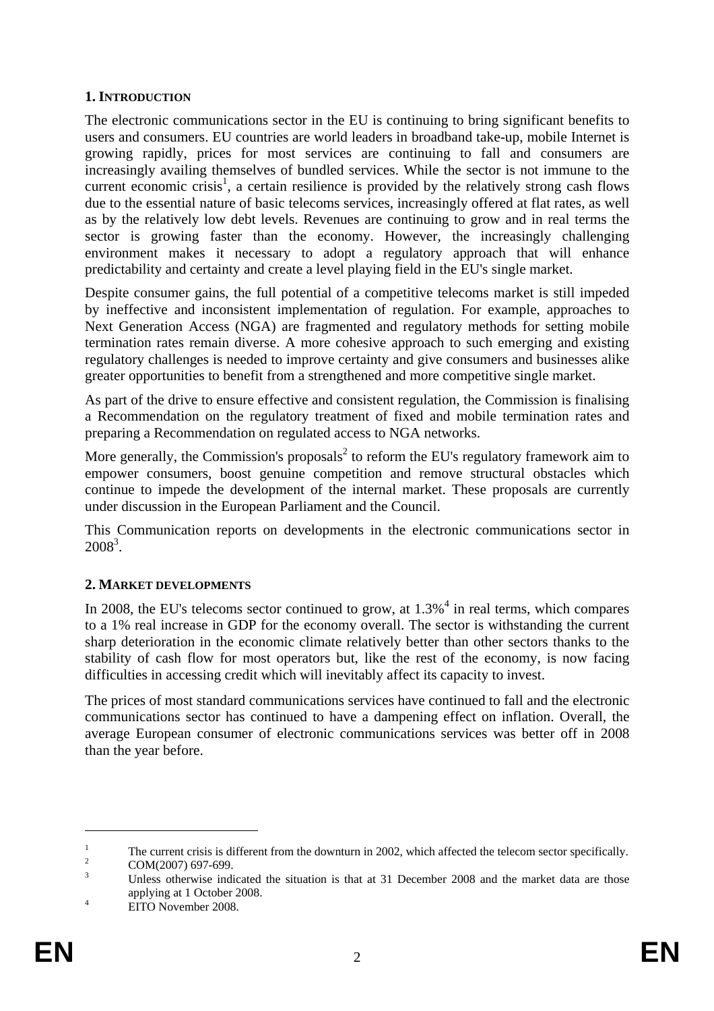#### **1. INTRODUCTION**

The electronic communications sector in the EU is continuing to bring significant benefits to users and consumers. EU countries are world leaders in broadband take-up, mobile Internet is growing rapidly, prices for most services are continuing to fall and consumers are increasingly availing themselves of bundled services. While the sector is not immune to the current economic crisis<sup>1</sup>, a certain resilience is provided by the relatively strong cash flows due to the essential nature of basic telecoms services, increasingly offered at flat rates, as well as by the relatively low debt levels. Revenues are continuing to grow and in real terms the sector is growing faster than the economy. However, the increasingly challenging environment makes it necessary to adopt a regulatory approach that will enhance predictability and certainty and create a level playing field in the EU's single market.

Despite consumer gains, the full potential of a competitive telecoms market is still impeded by ineffective and inconsistent implementation of regulation. For example, approaches to Next Generation Access (NGA) are fragmented and regulatory methods for setting mobile termination rates remain diverse. A more cohesive approach to such emerging and existing regulatory challenges is needed to improve certainty and give consumers and businesses alike greater opportunities to benefit from a strengthened and more competitive single market.

As part of the drive to ensure effective and consistent regulation, the Commission is finalising a Recommendation on the regulatory treatment of fixed and mobile termination rates and preparing a Recommendation on regulated access to NGA networks.

More generally, the Commission's proposals<sup>2</sup> to reform the EU's regulatory framework aim to empower consumers, boost genuine competition and remove structural obstacles which continue to impede the development of the internal market. These proposals are currently under discussion in the European Parliament and the Council.

This Communication reports on developments in the electronic communications sector in  $2008^3$ .

# **2. MARKET DEVELOPMENTS**

In 2008, the EU's telecoms sector continued to grow, at  $1.3\%$ <sup>4</sup> in real terms, which compares to a 1% real increase in GDP for the economy overall. The sector is withstanding the current sharp deterioration in the economic climate relatively better than other sectors thanks to the stability of cash flow for most operators but, like the rest of the economy, is now facing difficulties in accessing credit which will inevitably affect its capacity to invest.

The prices of most standard communications services have continued to fall and the electronic communications sector has continued to have a dampening effect on inflation. Overall, the average European consumer of electronic communications services was better off in 2008 than the year before.

<sup>1</sup> The current crisis is different from the downturn in 2002, which affected the telecom sector specifically.

COM(2007) 697-699.

<sup>3</sup> Unless otherwise indicated the situation is that at 31 December 2008 and the market data are those applying at 1 October 2008.

EITO November 2008.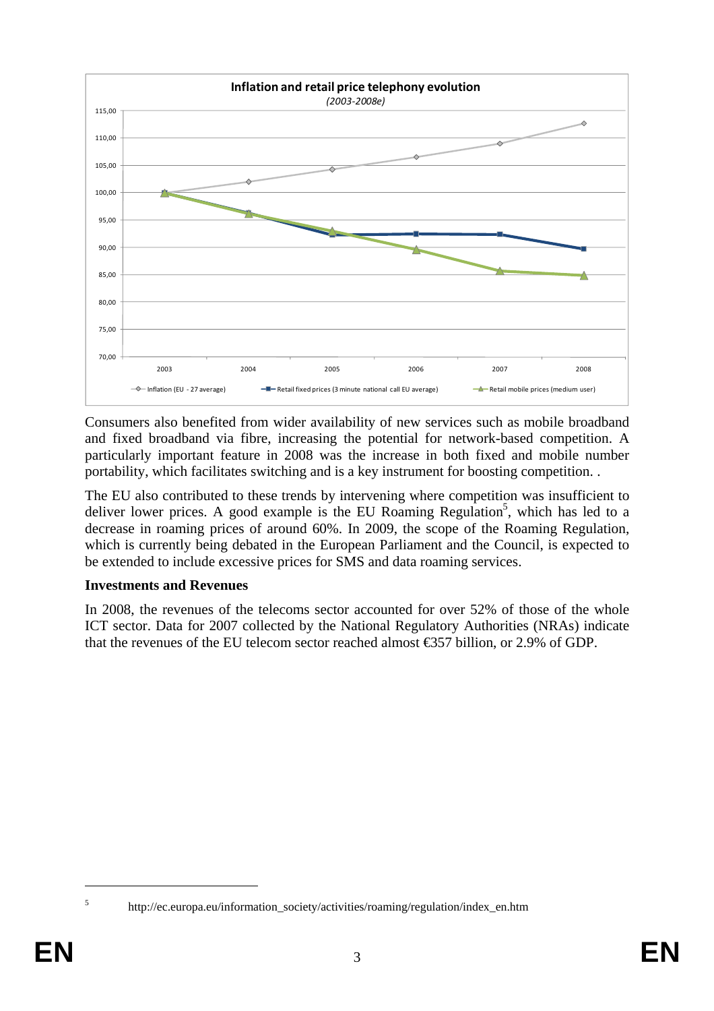

Consumers also benefited from wider availability of new services such as mobile broadband and fixed broadband via fibre, increasing the potential for network-based competition. A particularly important feature in 2008 was the increase in both fixed and mobile number portability, which facilitates switching and is a key instrument for boosting competition. .

The EU also contributed to these trends by intervening where competition was insufficient to deliver lower prices. A good example is the EU Roaming Regulation<sup>5</sup>, which has led to a decrease in roaming prices of around 60%. In 2009, the scope of the Roaming Regulation, which is currently being debated in the European Parliament and the Council, is expected to be extended to include excessive prices for SMS and data roaming services.

#### **Investments and Revenues**

In 2008, the revenues of the telecoms sector accounted for over 52% of those of the whole ICT sector. Data for 2007 collected by the National Regulatory Authorities (NRAs) indicate that the revenues of the EU telecom sector reached almost €357 billion, or 2.9% of GDP.

http://ec.europa.eu/information\_society/activities/roaming/regulation/index\_en.htm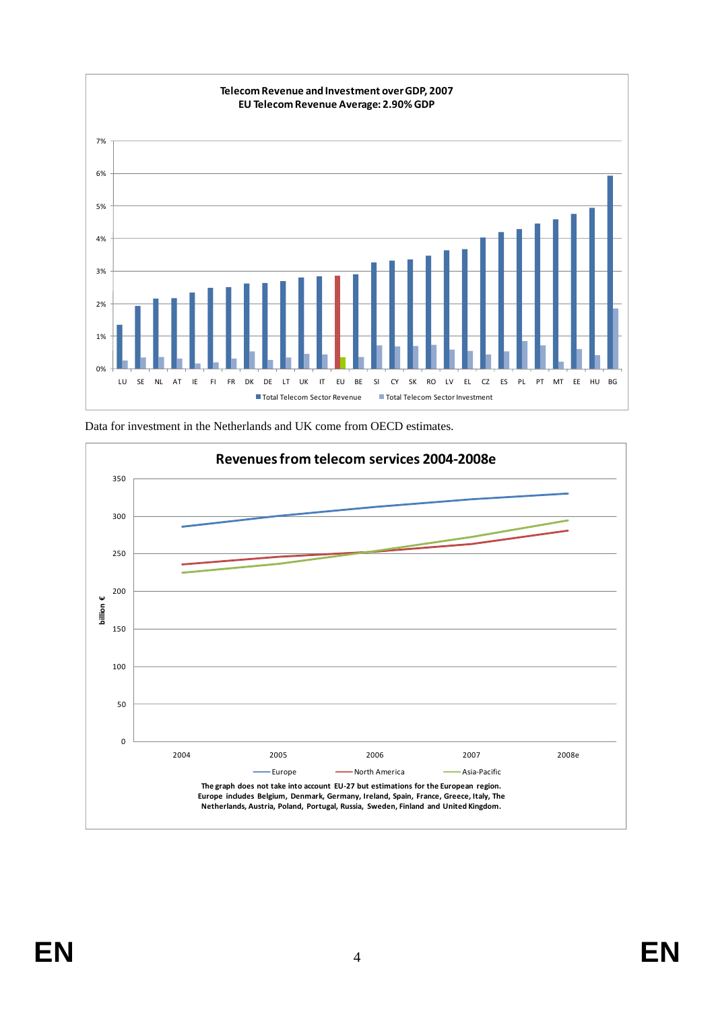

Data for investment in the Netherlands and UK come from OECD estimates.

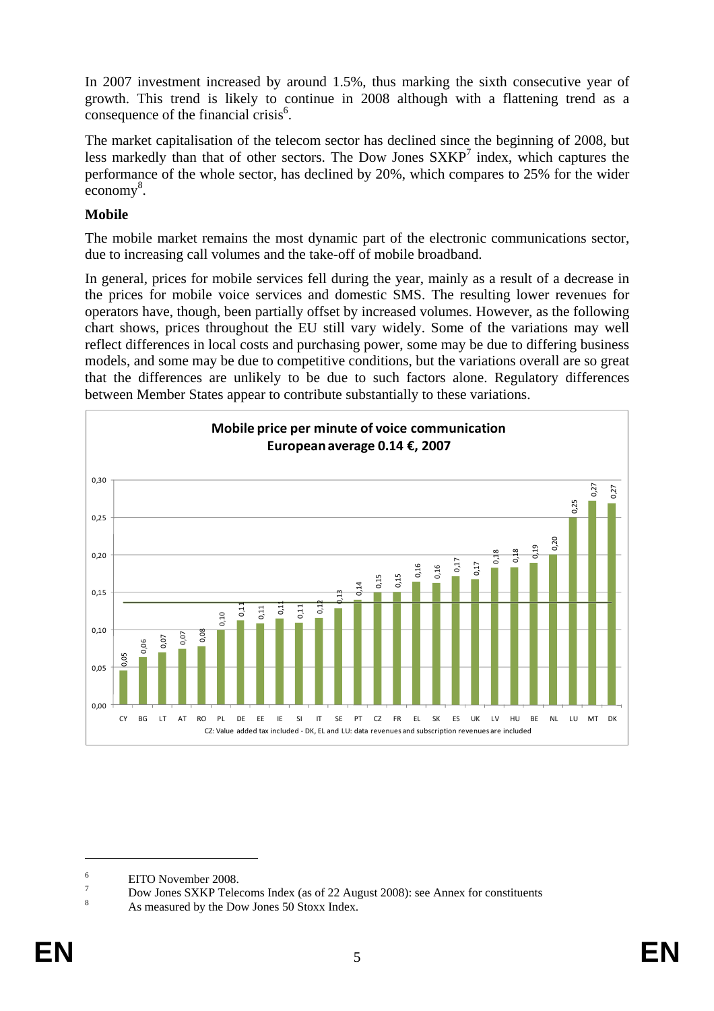In 2007 investment increased by around 1.5%, thus marking the sixth consecutive year of growth. This trend is likely to continue in 2008 although with a flattening trend as a consequence of the financial crisis $<sup>6</sup>$ .</sup>

The market capitalisation of the telecom sector has declined since the beginning of 2008, but less markedly than that of other sectors. The Dow Jones  $S X K P<sup>7</sup>$  index, which captures the performance of the whole sector, has declined by 20%, which compares to 25% for the wider economy<sup>8</sup>.

### **Mobile**

The mobile market remains the most dynamic part of the electronic communications sector, due to increasing call volumes and the take-off of mobile broadband.

In general, prices for mobile services fell during the year, mainly as a result of a decrease in the prices for mobile voice services and domestic SMS. The resulting lower revenues for operators have, though, been partially offset by increased volumes. However, as the following chart shows, prices throughout the EU still vary widely. Some of the variations may well reflect differences in local costs and purchasing power, some may be due to differing business models, and some may be due to competitive conditions, but the variations overall are so great that the differences are unlikely to be due to such factors alone. Regulatory differences between Member States appear to contribute substantially to these variations.



<sup>6</sup> EITO November 2008.

<sup>7</sup> Dow Jones SXKP Telecoms Index (as of 22 August 2008): see Annex for constituents

<sup>8</sup> As measured by the Dow Jones 50 Stoxx Index.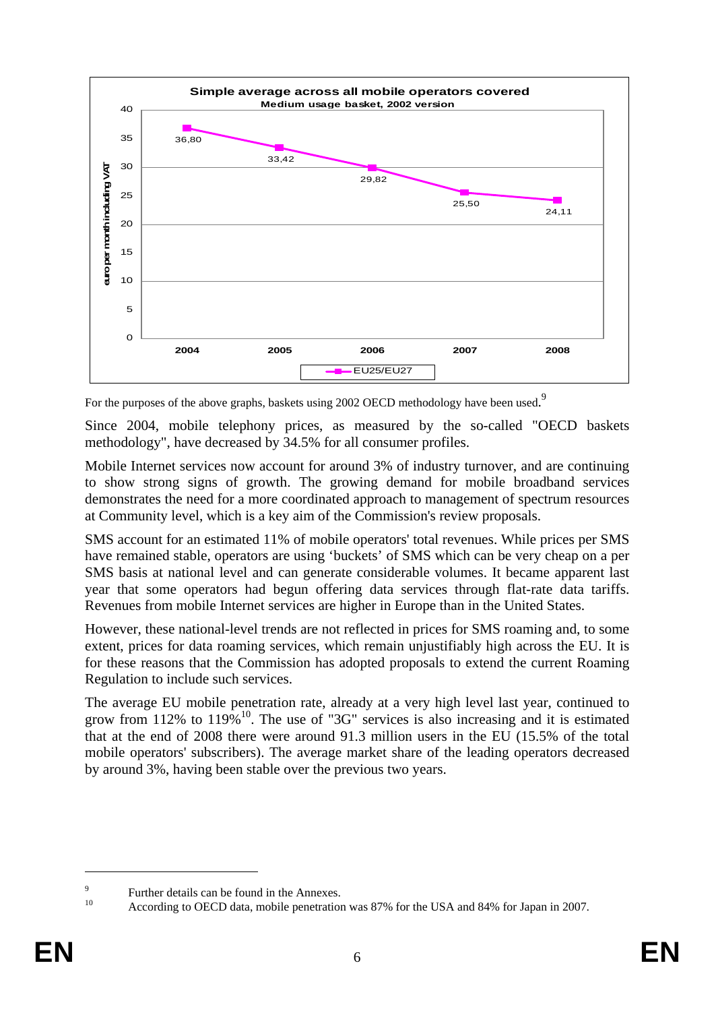

For the purposes of the above graphs, baskets using 2002 OECD methodology have been used.<sup>9</sup>

Since 2004, mobile telephony prices, as measured by the so-called "OECD baskets methodology", have decreased by 34.5% for all consumer profiles.

Mobile Internet services now account for around 3% of industry turnover, and are continuing to show strong signs of growth. The growing demand for mobile broadband services demonstrates the need for a more coordinated approach to management of spectrum resources at Community level, which is a key aim of the Commission's review proposals.

SMS account for an estimated 11% of mobile operators' total revenues. While prices per SMS have remained stable, operators are using 'buckets' of SMS which can be very cheap on a per SMS basis at national level and can generate considerable volumes. It became apparent last year that some operators had begun offering data services through flat-rate data tariffs. Revenues from mobile Internet services are higher in Europe than in the United States.

However, these national-level trends are not reflected in prices for SMS roaming and, to some extent, prices for data roaming services, which remain unjustifiably high across the EU. It is for these reasons that the Commission has adopted proposals to extend the current Roaming Regulation to include such services.

The average EU mobile penetration rate, already at a very high level last year, continued to grow from  $112\%$  to  $119\%$ <sup>10</sup>. The use of "3G" services is also increasing and it is estimated that at the end of 2008 there were around 91.3 million users in the EU (15.5% of the total mobile operators' subscribers). The average market share of the leading operators decreased by around 3%, having been stable over the previous two years.

 $\overline{9}$ Further details can be found in the Annexes.

According to OECD data, mobile penetration was 87% for the USA and 84% for Japan in 2007.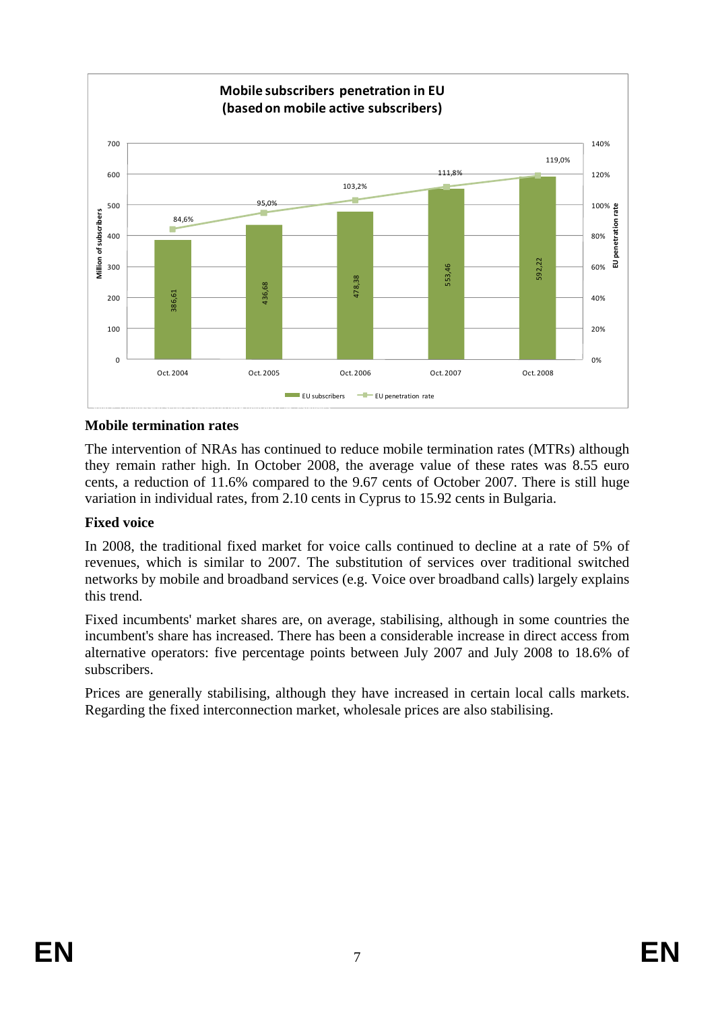

# **Mobile termination rates**

The intervention of NRAs has continued to reduce mobile termination rates (MTRs) although they remain rather high. In October 2008, the average value of these rates was 8.55 euro cents, a reduction of 11.6% compared to the 9.67 cents of October 2007. There is still huge variation in individual rates, from 2.10 cents in Cyprus to 15.92 cents in Bulgaria.

#### **Fixed voice**

In 2008, the traditional fixed market for voice calls continued to decline at a rate of 5% of revenues, which is similar to 2007. The substitution of services over traditional switched networks by mobile and broadband services (e.g. Voice over broadband calls) largely explains this trend.

Fixed incumbents' market shares are, on average, stabilising, although in some countries the incumbent's share has increased. There has been a considerable increase in direct access from alternative operators: five percentage points between July 2007 and July 2008 to 18.6% of subscribers.

Prices are generally stabilising, although they have increased in certain local calls markets. Regarding the fixed interconnection market, wholesale prices are also stabilising.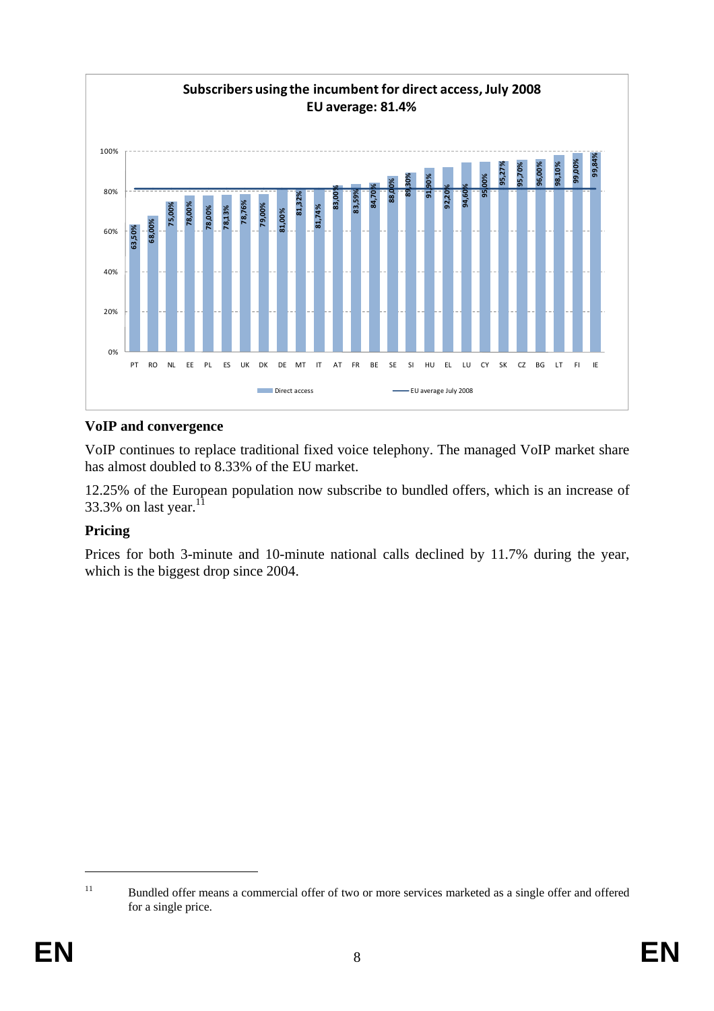

# **VoIP and convergence**

VoIP continues to replace traditional fixed voice telephony. The managed VoIP market share has almost doubled to 8.33% of the EU market.

12.25% of the European population now subscribe to bundled offers, which is an increase of 33.3% on last year. $11$ 

#### **Pricing**

Prices for both 3-minute and 10-minute national calls declined by 11.7% during the year, which is the biggest drop since 2004.

<sup>&</sup>lt;sup>11</sup> Bundled offer means a commercial offer of two or more services marketed as a single offer and offered for a single price.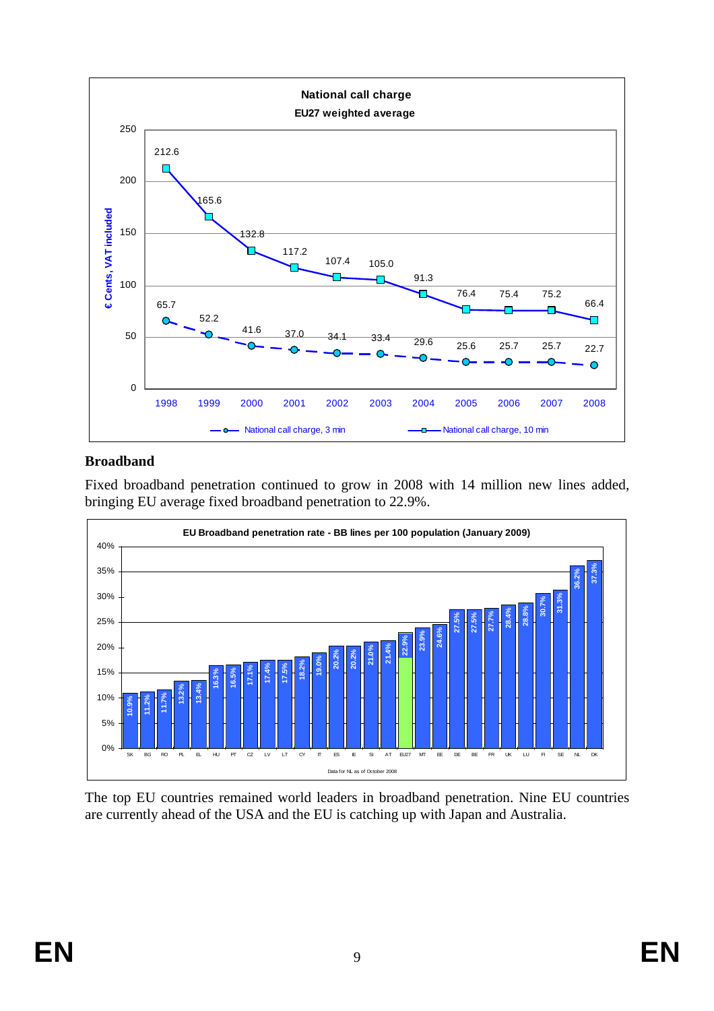

### **Broadband**

Fixed broadband penetration continued to grow in 2008 with 14 million new lines added, bringing EU average fixed broadband penetration to 22.9%.



The top EU countries remained world leaders in broadband penetration. Nine EU countries are currently ahead of the USA and the EU is catching up with Japan and Australia.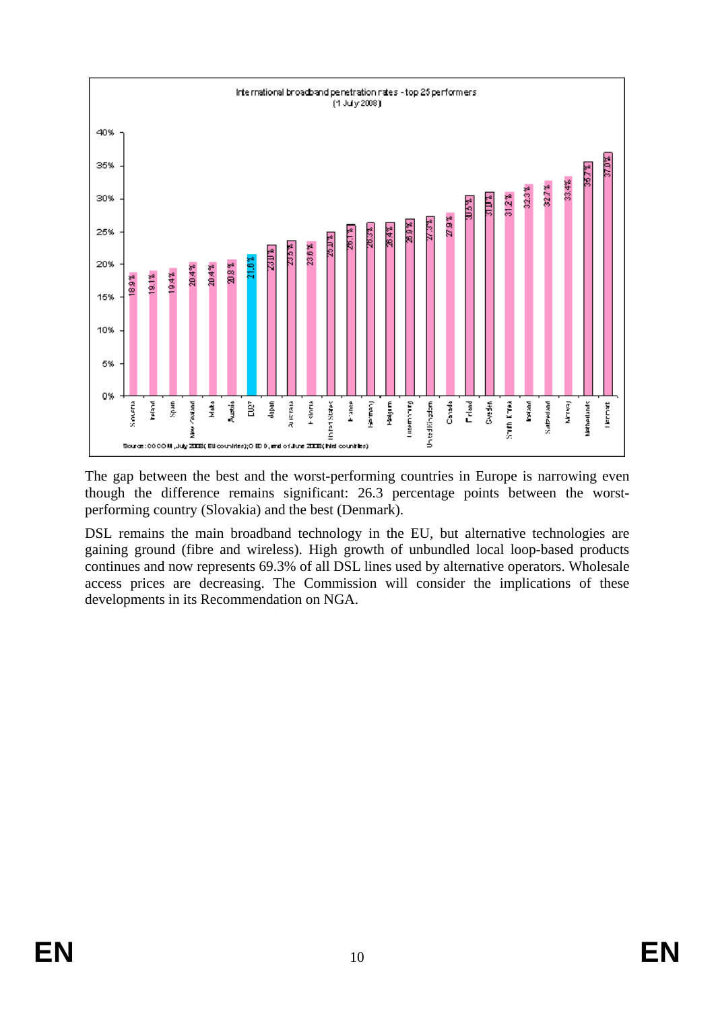

The gap between the best and the worst-performing countries in Europe is narrowing even though the difference remains significant: 26.3 percentage points between the worstperforming country (Slovakia) and the best (Denmark).

DSL remains the main broadband technology in the EU, but alternative technologies are gaining ground (fibre and wireless). High growth of unbundled local loop-based products continues and now represents 69.3% of all DSL lines used by alternative operators. Wholesale access prices are decreasing. The Commission will consider the implications of these developments in its Recommendation on NGA.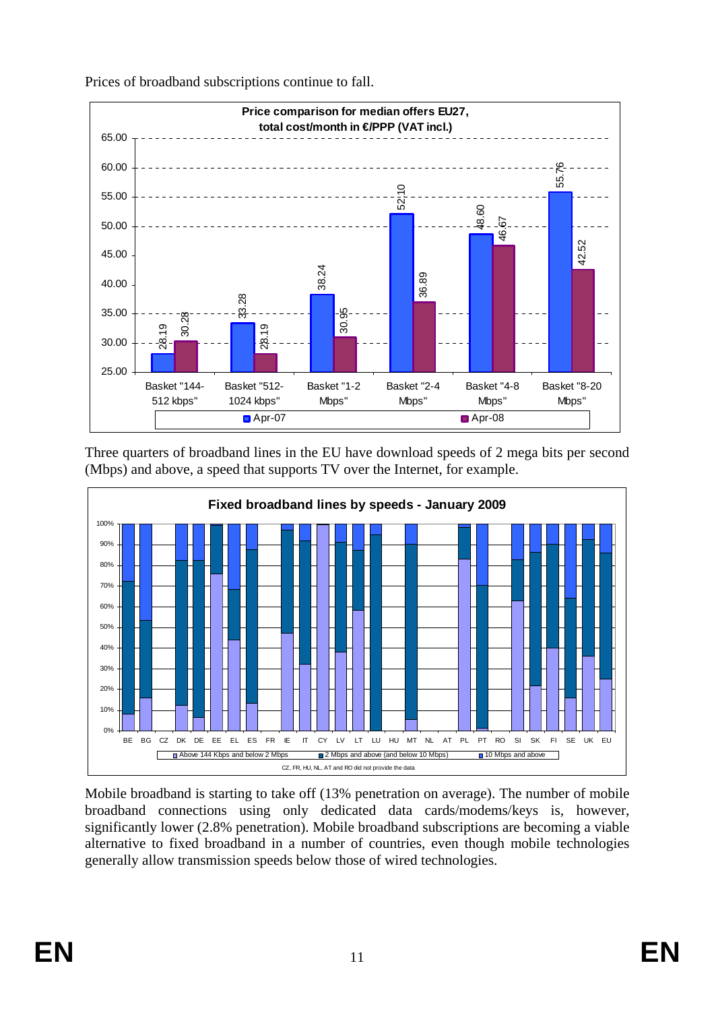

Prices of broadband subscriptions continue to fall.

Three quarters of broadband lines in the EU have download speeds of 2 mega bits per second (Mbps) and above, a speed that supports TV over the Internet, for example.



Mobile broadband is starting to take off (13% penetration on average). The number of mobile broadband connections using only dedicated data cards/modems/keys is, however, significantly lower (2.8% penetration). Mobile broadband subscriptions are becoming a viable alternative to fixed broadband in a number of countries, even though mobile technologies generally allow transmission speeds below those of wired technologies.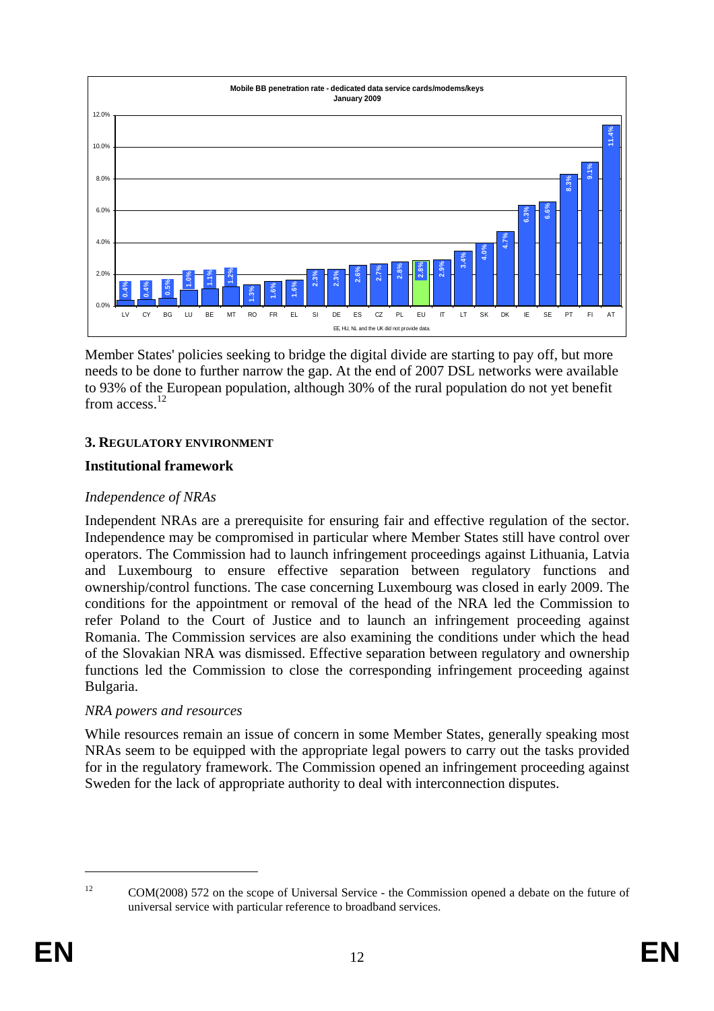

Member States' policies seeking to bridge the digital divide are starting to pay off, but more needs to be done to further narrow the gap. At the end of 2007 DSL networks were available to 93% of the European population, although 30% of the rural population do not yet benefit from access<sup>12</sup>

### **3. REGULATORY ENVIRONMENT**

### **Institutional framework**

#### *Independence of NRAs*

Independent NRAs are a prerequisite for ensuring fair and effective regulation of the sector. Independence may be compromised in particular where Member States still have control over operators. The Commission had to launch infringement proceedings against Lithuania, Latvia and Luxembourg to ensure effective separation between regulatory functions and ownership/control functions. The case concerning Luxembourg was closed in early 2009. The conditions for the appointment or removal of the head of the NRA led the Commission to refer Poland to the Court of Justice and to launch an infringement proceeding against Romania. The Commission services are also examining the conditions under which the head of the Slovakian NRA was dismissed. Effective separation between regulatory and ownership functions led the Commission to close the corresponding infringement proceeding against Bulgaria.

#### *NRA powers and resources*

While resources remain an issue of concern in some Member States, generally speaking most NRAs seem to be equipped with the appropriate legal powers to carry out the tasks provided for in the regulatory framework. The Commission opened an infringement proceeding against Sweden for the lack of appropriate authority to deal with interconnection disputes.

<sup>&</sup>lt;sup>12</sup> COM(2008) 572 on the scope of Universal Service - the Commission opened a debate on the future of universal service with particular reference to broadband services.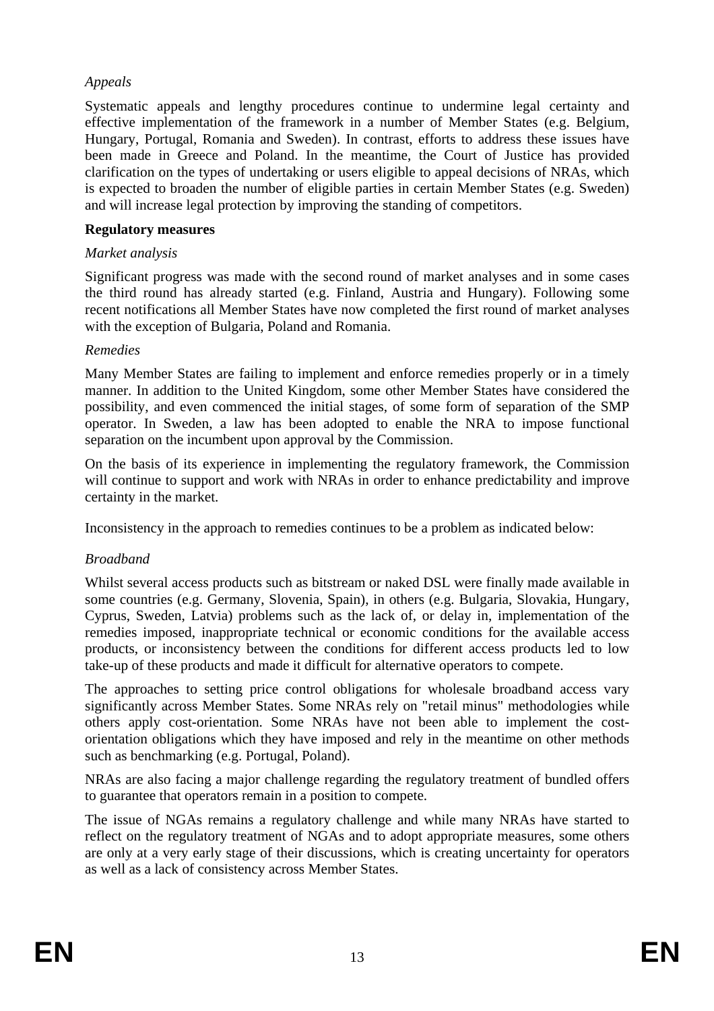# *Appeals*

Systematic appeals and lengthy procedures continue to undermine legal certainty and effective implementation of the framework in a number of Member States (e.g. Belgium, Hungary, Portugal, Romania and Sweden). In contrast, efforts to address these issues have been made in Greece and Poland. In the meantime, the Court of Justice has provided clarification on the types of undertaking or users eligible to appeal decisions of NRAs, which is expected to broaden the number of eligible parties in certain Member States (e.g. Sweden) and will increase legal protection by improving the standing of competitors.

#### **Regulatory measures**

# *Market analysis*

Significant progress was made with the second round of market analyses and in some cases the third round has already started (e.g. Finland, Austria and Hungary). Following some recent notifications all Member States have now completed the first round of market analyses with the exception of Bulgaria, Poland and Romania.

### *Remedies*

Many Member States are failing to implement and enforce remedies properly or in a timely manner. In addition to the United Kingdom, some other Member States have considered the possibility, and even commenced the initial stages, of some form of separation of the SMP operator. In Sweden, a law has been adopted to enable the NRA to impose functional separation on the incumbent upon approval by the Commission.

On the basis of its experience in implementing the regulatory framework, the Commission will continue to support and work with NRAs in order to enhance predictability and improve certainty in the market.

Inconsistency in the approach to remedies continues to be a problem as indicated below:

# *Broadband*

Whilst several access products such as bitstream or naked DSL were finally made available in some countries (e.g. Germany, Slovenia, Spain), in others (e.g. Bulgaria, Slovakia, Hungary, Cyprus, Sweden, Latvia) problems such as the lack of, or delay in, implementation of the remedies imposed, inappropriate technical or economic conditions for the available access products, or inconsistency between the conditions for different access products led to low take-up of these products and made it difficult for alternative operators to compete.

The approaches to setting price control obligations for wholesale broadband access vary significantly across Member States. Some NRAs rely on "retail minus" methodologies while others apply cost-orientation. Some NRAs have not been able to implement the costorientation obligations which they have imposed and rely in the meantime on other methods such as benchmarking (e.g. Portugal, Poland).

NRAs are also facing a major challenge regarding the regulatory treatment of bundled offers to guarantee that operators remain in a position to compete.

The issue of NGAs remains a regulatory challenge and while many NRAs have started to reflect on the regulatory treatment of NGAs and to adopt appropriate measures, some others are only at a very early stage of their discussions, which is creating uncertainty for operators as well as a lack of consistency across Member States.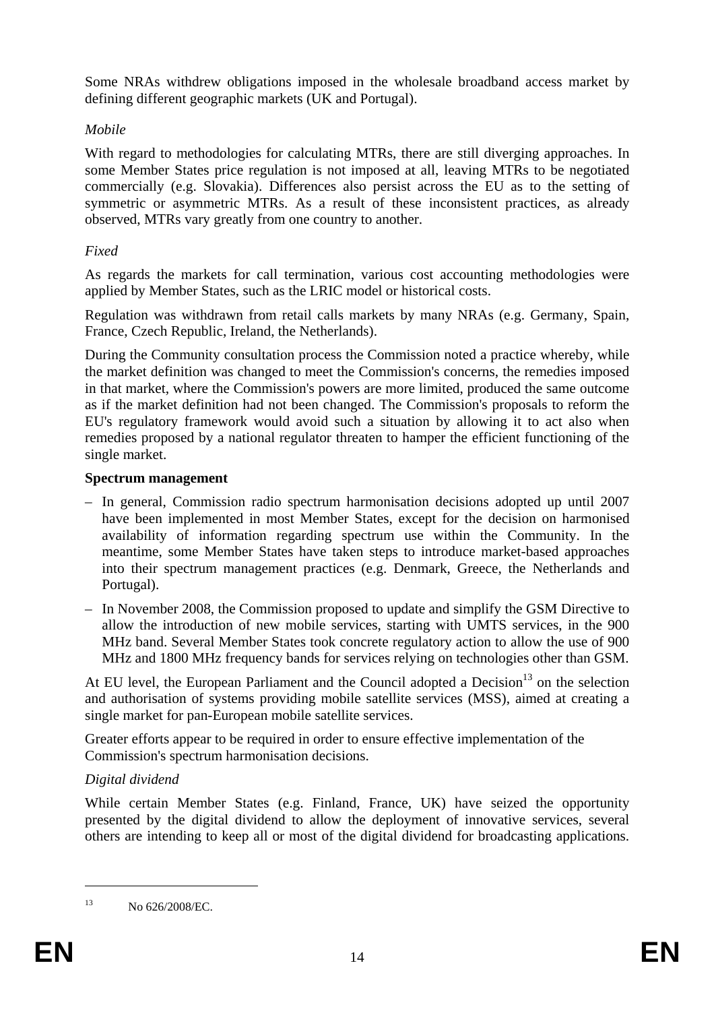Some NRAs withdrew obligations imposed in the wholesale broadband access market by defining different geographic markets (UK and Portugal).

# *Mobile*

With regard to methodologies for calculating MTRs, there are still diverging approaches. In some Member States price regulation is not imposed at all, leaving MTRs to be negotiated commercially (e.g. Slovakia). Differences also persist across the EU as to the setting of symmetric or asymmetric MTRs. As a result of these inconsistent practices, as already observed, MTRs vary greatly from one country to another.

# *Fixed*

As regards the markets for call termination, various cost accounting methodologies were applied by Member States, such as the LRIC model or historical costs.

Regulation was withdrawn from retail calls markets by many NRAs (e.g. Germany, Spain, France, Czech Republic, Ireland, the Netherlands).

During the Community consultation process the Commission noted a practice whereby, while the market definition was changed to meet the Commission's concerns, the remedies imposed in that market, where the Commission's powers are more limited, produced the same outcome as if the market definition had not been changed. The Commission's proposals to reform the EU's regulatory framework would avoid such a situation by allowing it to act also when remedies proposed by a national regulator threaten to hamper the efficient functioning of the single market.

# **Spectrum management**

- In general, Commission radio spectrum harmonisation decisions adopted up until 2007 have been implemented in most Member States, except for the decision on harmonised availability of information regarding spectrum use within the Community. In the meantime, some Member States have taken steps to introduce market-based approaches into their spectrum management practices (e.g. Denmark, Greece, the Netherlands and Portugal).
- In November 2008, the Commission proposed to update and simplify the GSM Directive to allow the introduction of new mobile services, starting with UMTS services, in the 900 MHz band. Several Member States took concrete regulatory action to allow the use of 900 MHz and 1800 MHz frequency bands for services relying on technologies other than GSM.

At EU level, the European Parliament and the Council adopted a Decision<sup>13</sup> on the selection and authorisation of systems providing mobile satellite services (MSS), aimed at creating a single market for pan-European mobile satellite services.

Greater efforts appear to be required in order to ensure effective implementation of the Commission's spectrum harmonisation decisions.

# *Digital dividend*

While certain Member States (e.g. Finland, France, UK) have seized the opportunity presented by the digital dividend to allow the deployment of innovative services, several others are intending to keep all or most of the digital dividend for broadcasting applications.

<sup>13</sup> No 626/2008/EC.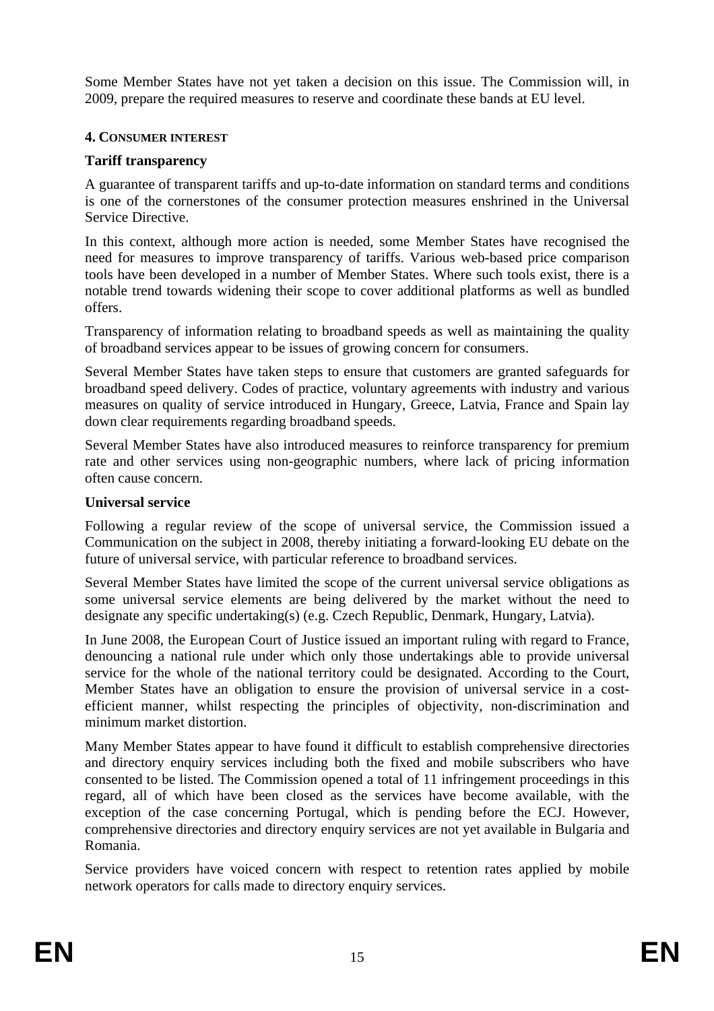Some Member States have not yet taken a decision on this issue. The Commission will, in 2009, prepare the required measures to reserve and coordinate these bands at EU level.

#### **4. CONSUMER INTEREST**

## **Tariff transparency**

A guarantee of transparent tariffs and up-to-date information on standard terms and conditions is one of the cornerstones of the consumer protection measures enshrined in the Universal Service Directive.

In this context, although more action is needed, some Member States have recognised the need for measures to improve transparency of tariffs. Various web-based price comparison tools have been developed in a number of Member States. Where such tools exist, there is a notable trend towards widening their scope to cover additional platforms as well as bundled offers.

Transparency of information relating to broadband speeds as well as maintaining the quality of broadband services appear to be issues of growing concern for consumers.

Several Member States have taken steps to ensure that customers are granted safeguards for broadband speed delivery. Codes of practice, voluntary agreements with industry and various measures on quality of service introduced in Hungary, Greece, Latvia, France and Spain lay down clear requirements regarding broadband speeds.

Several Member States have also introduced measures to reinforce transparency for premium rate and other services using non-geographic numbers, where lack of pricing information often cause concern.

#### **Universal service**

Following a regular review of the scope of universal service, the Commission issued a Communication on the subject in 2008, thereby initiating a forward-looking EU debate on the future of universal service, with particular reference to broadband services.

Several Member States have limited the scope of the current universal service obligations as some universal service elements are being delivered by the market without the need to designate any specific undertaking(s) (e.g. Czech Republic, Denmark, Hungary, Latvia).

In June 2008, the European Court of Justice issued an important ruling with regard to France, denouncing a national rule under which only those undertakings able to provide universal service for the whole of the national territory could be designated. According to the Court, Member States have an obligation to ensure the provision of universal service in a costefficient manner, whilst respecting the principles of objectivity, non-discrimination and minimum market distortion.

Many Member States appear to have found it difficult to establish comprehensive directories and directory enquiry services including both the fixed and mobile subscribers who have consented to be listed. The Commission opened a total of 11 infringement proceedings in this regard, all of which have been closed as the services have become available, with the exception of the case concerning Portugal, which is pending before the ECJ. However, comprehensive directories and directory enquiry services are not yet available in Bulgaria and Romania.

Service providers have voiced concern with respect to retention rates applied by mobile network operators for calls made to directory enquiry services.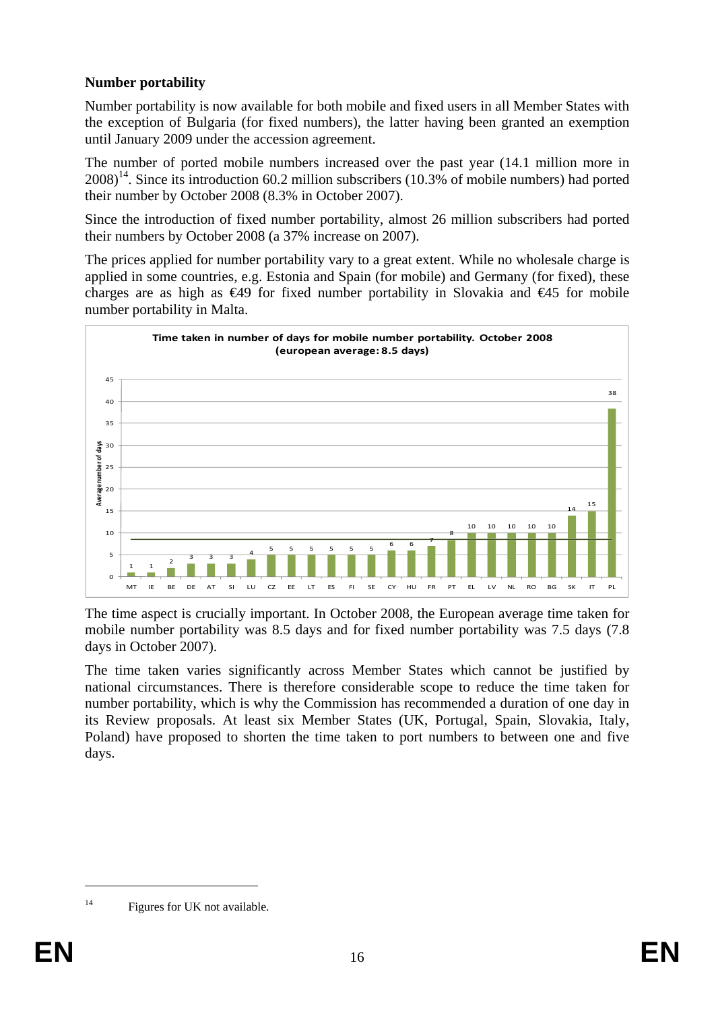# **Number portability**

Number portability is now available for both mobile and fixed users in all Member States with the exception of Bulgaria (for fixed numbers), the latter having been granted an exemption until January 2009 under the accession agreement.

The number of ported mobile numbers increased over the past year (14.1 million more in  $2008$ <sup>14</sup>. Since its introduction 60.2 million subscribers (10.3% of mobile numbers) had ported their number by October 2008 (8.3% in October 2007).

Since the introduction of fixed number portability, almost 26 million subscribers had ported their numbers by October 2008 (a 37% increase on 2007).

The prices applied for number portability vary to a great extent. While no wholesale charge is applied in some countries, e.g. Estonia and Spain (for mobile) and Germany (for fixed), these charges are as high as  $\epsilon$ 49 for fixed number portability in Slovakia and  $\epsilon$ 45 for mobile number portability in Malta.



The time aspect is crucially important. In October 2008, the European average time taken for mobile number portability was 8.5 days and for fixed number portability was 7.5 days (7.8 days in October 2007).

The time taken varies significantly across Member States which cannot be justified by national circumstances. There is therefore considerable scope to reduce the time taken for number portability, which is why the Commission has recommended a duration of one day in its Review proposals. At least six Member States (UK, Portugal, Spain, Slovakia, Italy, Poland) have proposed to shorten the time taken to port numbers to between one and five days.

<sup>&</sup>lt;sup>14</sup> Figures for UK not available.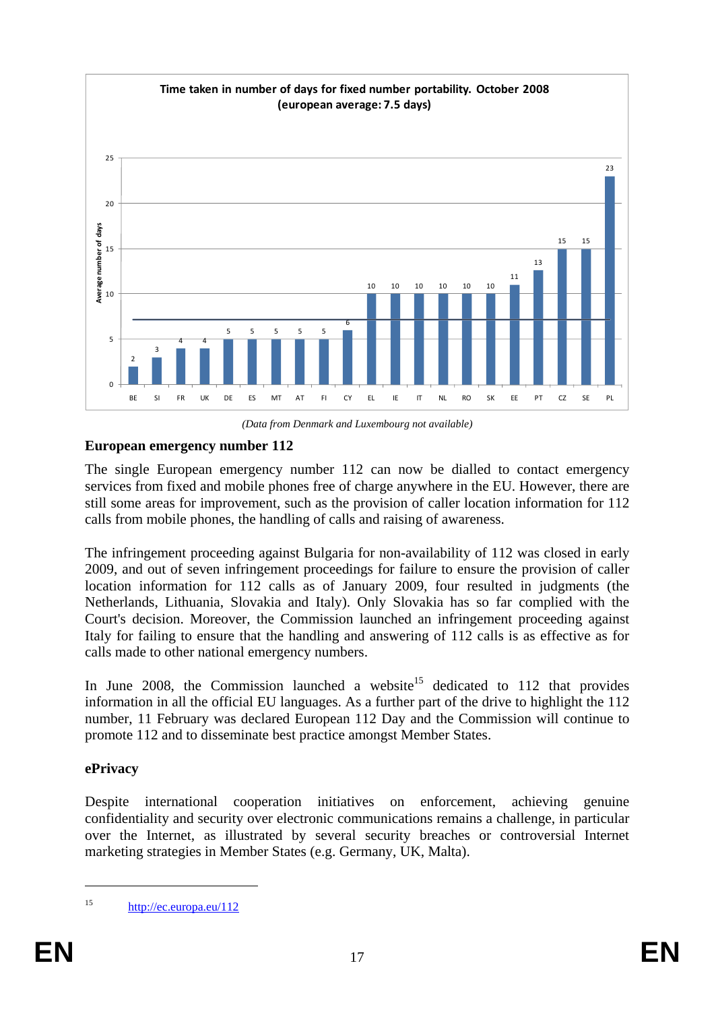

*(Data from Denmark and Luxembourg not available)* 

# **European emergency number 112**

The single European emergency number 112 can now be dialled to contact emergency services from fixed and mobile phones free of charge anywhere in the EU. However, there are still some areas for improvement, such as the provision of caller location information for 112 calls from mobile phones, the handling of calls and raising of awareness.

The infringement proceeding against Bulgaria for non-availability of 112 was closed in early 2009, and out of seven infringement proceedings for failure to ensure the provision of caller location information for 112 calls as of January 2009, four resulted in judgments (the Netherlands, Lithuania, Slovakia and Italy). Only Slovakia has so far complied with the Court's decision. Moreover, the Commission launched an infringement proceeding against Italy for failing to ensure that the handling and answering of 112 calls is as effective as for calls made to other national emergency numbers.

In June 2008, the Commission launched a website<sup>15</sup> dedicated to 112 that provides information in all the official EU languages. As a further part of the drive to highlight the 112 number, 11 February was declared European 112 Day and the Commission will continue to promote 112 and to disseminate best practice amongst Member States.

# **ePrivacy**

Despite international cooperation initiatives on enforcement, achieving genuine confidentiality and security over electronic communications remains a challenge, in particular over the Internet, as illustrated by several security breaches or controversial Internet marketing strategies in Member States (e.g. Germany, UK, Malta).

<sup>15</sup> <http://ec.europa.eu/112>